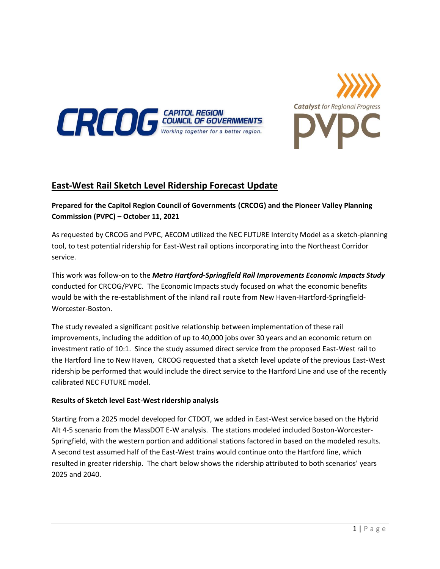



## **East-West Rail Sketch Level Ridership Forecast Update**

## **Prepared for the Capitol Region Council of Governments (CRCOG) and the Pioneer Valley Planning Commission (PVPC) – October 11, 2021**

As requested by CRCOG and PVPC, AECOM utilized the NEC FUTURE Intercity Model as a sketch-planning tool, to test potential ridership for East-West rail options incorporating into the Northeast Corridor service.

This work was follow-on to the *Metro Hartford-Springfield Rail Improvements Economic Impacts Study* conducted for CRCOG/PVPC. The Economic Impacts study focused on what the economic benefits would be with the re-establishment of the inland rail route from New Haven-Hartford-Springfield-Worcester-Boston.

The study revealed a significant positive relationship between implementation of these rail improvements, including the addition of up to 40,000 jobs over 30 years and an economic return on investment ratio of 10:1. Since the study assumed direct service from the proposed East-West rail to the Hartford line to New Haven, CRCOG requested that a sketch level update of the previous East-West ridership be performed that would include the direct service to the Hartford Line and use of the recently calibrated NEC FUTURE model.

## **Results of Sketch level East-West ridership analysis**

Starting from a 2025 model developed for CTDOT, we added in East-West service based on the Hybrid Alt 4-5 scenario from the MassDOT E-W analysis. The stations modeled included Boston-Worcester-Springfield, with the western portion and additional stations factored in based on the modeled results. A second test assumed half of the East-West trains would continue onto the Hartford line, which resulted in greater ridership. The chart below shows the ridership attributed to both scenarios' years 2025 and 2040.